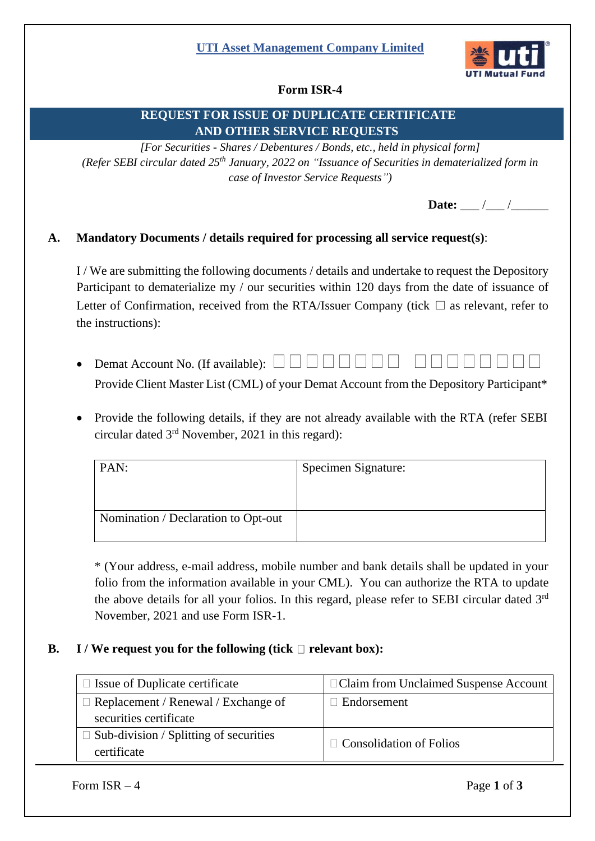## **UTI Asset Management Company Limited**



# **Form ISR-4**

# **REQUEST FOR ISSUE OF DUPLICATE CERTIFICATE AND OTHER SERVICE REQUESTS**

*[For Securities - Shares / Debentures / Bonds, etc., held in physical form] (Refer SEBI circular dated 25th January, 2022 on "Issuance of Securities in dematerialized form in case of Investor Service Requests")*

**Date:** \_\_\_ /\_\_\_ /\_\_\_

## **A. Mandatory Documents / details required for processing all service request(s)**:

I / We are submitting the following documents / details and undertake to request the Depository Participant to dematerialize my / our securities within 120 days from the date of issuance of Letter of Confirmation, received from the RTA/Issuer Company (tick  $\Box$  as relevant, refer to the instructions):

- Demat Account No. (If available):  $\Box$   $\Box$ Provide Client Master List (CML) of your Demat Account from the Depository Participant\*
- Provide the following details, if they are not already available with the RTA (refer [SEBI](https://www.sebi.gov.in/legal/circulars/nov-2021/common-and-simplified-norms-for-processing-investor-s-service-request-by-rtas-and-norms-for-furnishing-pan-kyc-details-and-nomination_53787.html)  circular dated 3<sup>rd</sup> [November, 2021](https://www.sebi.gov.in/legal/circulars/nov-2021/common-and-simplified-norms-for-processing-investor-s-service-request-by-rtas-and-norms-for-furnishing-pan-kyc-details-and-nomination_53787.html) in this regard):

| PAN:                                | Specimen Signature: |
|-------------------------------------|---------------------|
|                                     |                     |
|                                     |                     |
| Nomination / Declaration to Opt-out |                     |

\* (Your address, e-mail address, mobile number and bank details shall be updated in your folio from the information available in your CML). You can authorize the RTA to update the above details for all your folios. In this regard, please refer to SEBI circular dated  $3<sup>rd</sup>$ [November, 2021](https://www.sebi.gov.in/legal/circulars/nov-2021/common-and-simplified-norms-for-processing-investor-s-service-request-by-rtas-and-norms-for-furnishing-pan-kyc-details-and-nomination_53787.html) and use [Form ISR-1.](https://www.sebi.gov.in/sebi_data/commondocs/dec-2021/pdf%20Form%20ISR-1%20(1)_p.pdf)

#### **B. I** / We request you for the following (tick  $\Box$  relevant box):

| $\Box$ Issue of Duplicate certificate                                | □ Claim from Unclaimed Suspense Account |
|----------------------------------------------------------------------|-----------------------------------------|
| $\Box$ Replacement / Renewal / Exchange of<br>securities certificate | $\perp$ Endorsement                     |
| Sub-division / Splitting of securities<br>certificate                | $\Box$ Consolidation of Folios          |

Form  $ISR - 4$  Page 1 of 3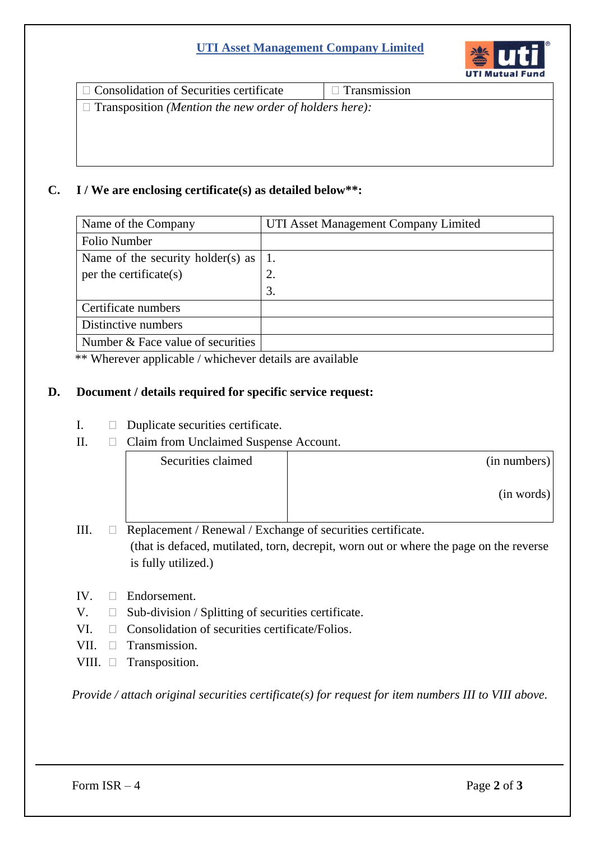# **UTI Asset Management Company Limited**



 $\Box$  Consolidation of Securities certificate  $\Box$  Transmission

Transposition *(Mention the new order of holders here):*

## **C. I / We are enclosing certificate(s) as detailed below\*\*:**

| Name of the Company               | UTI Asset Management Company Limited |  |
|-----------------------------------|--------------------------------------|--|
| <b>Folio Number</b>               |                                      |  |
| Name of the security holder(s) as |                                      |  |
| per the certificate(s)            | 2.                                   |  |
|                                   | 3.                                   |  |
| Certificate numbers               |                                      |  |
| Distinctive numbers               |                                      |  |
| Number & Face value of securities |                                      |  |

\*\* Wherever applicable / whichever details are available

## **D. Document / details required for specific service request:**

- I. Duplicate securities certificate.
- II. Claim from Unclaimed Suspense Account.

| Securities claimed | (in numbers) |
|--------------------|--------------|
|                    | (in words)   |

- III.  $\Box$  Replacement / Renewal / Exchange of securities certificate. (that is defaced, mutilated, torn, decrepit, worn out or where the page on the reverse is fully utilized.)
- IV. Endorsement.
- $V. \Box$  Sub-division / Splitting of securities certificate.
- VI.  $\Box$  Consolidation of securities certificate/Folios.
- VII. **Transmission**.
- VIII. Transposition.

*Provide / attach original securities certificate(s) for request for item numbers III to VIII above.*